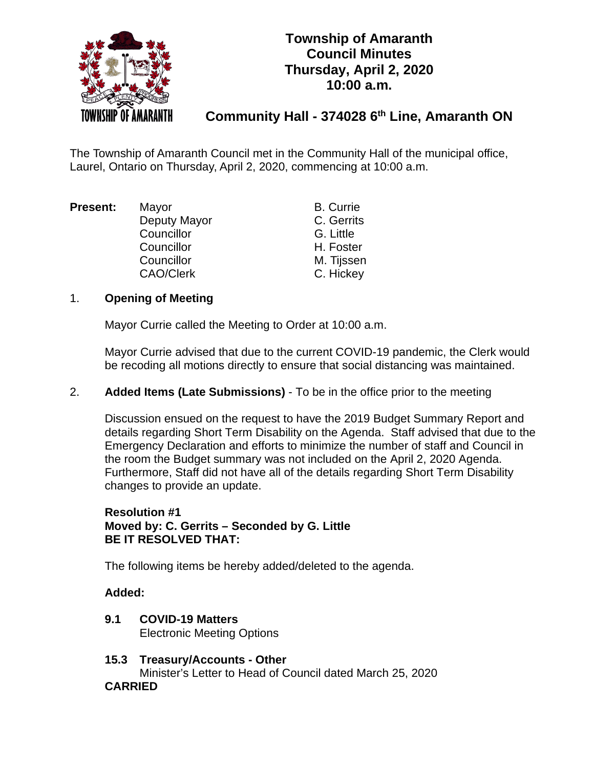

# **Township of Amaranth Council Minutes Thursday, April 2, 2020 10:00 a.m.**

# **Community Hall - 374028 6th Line, Amaranth ON**

The Township of Amaranth Council met in the Community Hall of the municipal office, Laurel, Ontario on Thursday, April 2, 2020, commencing at 10:00 a.m.

| Present: | Mayor            | <b>B.</b> Currie |
|----------|------------------|------------------|
|          | Deputy Mayor     | C. Gerrits       |
|          | Councillor       | G. Little        |
|          | Councillor       | H. Foster        |
|          | Councillor       | M. Tijssen       |
|          | <b>CAO/Clerk</b> | C. Hickey        |

# 1. **Opening of Meeting**

Mayor Currie called the Meeting to Order at 10:00 a.m.

Mayor Currie advised that due to the current COVID-19 pandemic, the Clerk would be recoding all motions directly to ensure that social distancing was maintained.

2. **Added Items (Late Submissions)** - To be in the office prior to the meeting

Discussion ensued on the request to have the 2019 Budget Summary Report and details regarding Short Term Disability on the Agenda. Staff advised that due to the Emergency Declaration and efforts to minimize the number of staff and Council in the room the Budget summary was not included on the April 2, 2020 Agenda. Furthermore, Staff did not have all of the details regarding Short Term Disability changes to provide an update.

# **Resolution #1 Moved by: C. Gerrits – Seconded by G. Little BE IT RESOLVED THAT:**

The following items be hereby added/deleted to the agenda.

# **Added:**

- **9.1 COVID-19 Matters** Electronic Meeting Options
- **15.3 Treasury/Accounts - Other**

Minister's Letter to Head of Council dated March 25, 2020

# **CARRIED**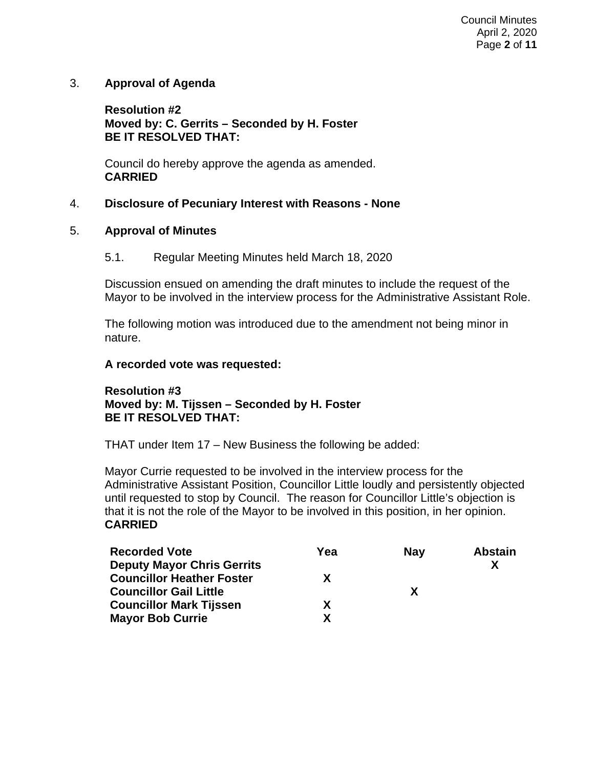3. **Approval of Agenda**

**Resolution #2 Moved by: C. Gerrits – Seconded by H. Foster BE IT RESOLVED THAT:**

Council do hereby approve the agenda as amended. **CARRIED**

# 4. **Disclosure of Pecuniary Interest with Reasons - None**

# 5. **Approval of Minutes**

5.1. Regular Meeting Minutes held March 18, 2020

Discussion ensued on amending the draft minutes to include the request of the Mayor to be involved in the interview process for the Administrative Assistant Role.

The following motion was introduced due to the amendment not being minor in nature.

### **A recorded vote was requested:**

# **Resolution #3 Moved by: M. Tijssen – Seconded by H. Foster BE IT RESOLVED THAT:**

THAT under Item 17 – New Business the following be added:

Mayor Currie requested to be involved in the interview process for the Administrative Assistant Position, Councillor Little loudly and persistently objected until requested to stop by Council. The reason for Councillor Little's objection is that it is not the role of the Mayor to be involved in this position, in her opinion. **CARRIED**

| <b>Recorded Vote</b>              | Yea | <b>Nav</b> | <b>Abstain</b> |
|-----------------------------------|-----|------------|----------------|
| <b>Deputy Mayor Chris Gerrits</b> |     |            |                |
| <b>Councillor Heather Foster</b>  | x   |            |                |
| <b>Councillor Gail Little</b>     |     | X          |                |
| <b>Councillor Mark Tijssen</b>    | x   |            |                |
| <b>Mayor Bob Currie</b>           | Y   |            |                |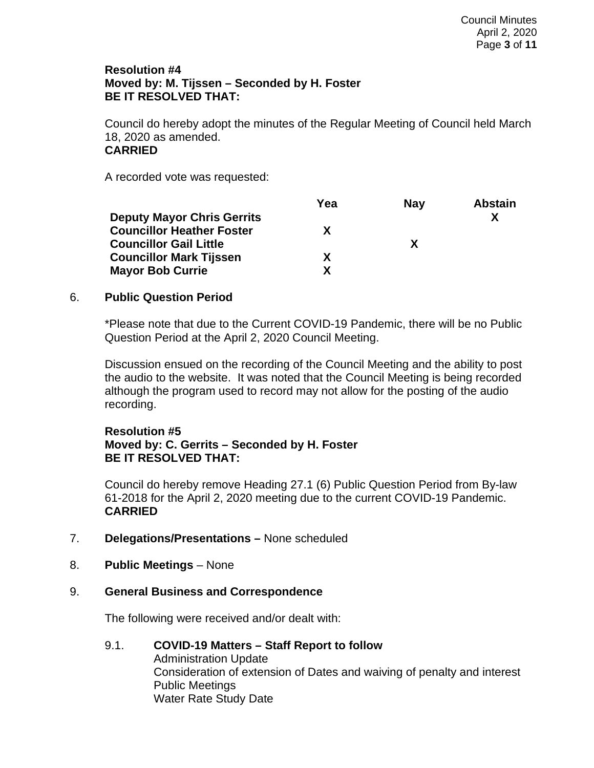# **Resolution #4 Moved by: M. Tijssen – Seconded by H. Foster BE IT RESOLVED THAT:**

Council do hereby adopt the minutes of the Regular Meeting of Council held March 18, 2020 as amended. **CARRIED**

A recorded vote was requested:

|                                   | Yea | <b>Nav</b> | <b>Abstain</b> |
|-----------------------------------|-----|------------|----------------|
| <b>Deputy Mayor Chris Gerrits</b> |     |            |                |
| <b>Councillor Heather Foster</b>  | x   |            |                |
| <b>Councillor Gail Little</b>     |     | X          |                |
| <b>Councillor Mark Tijssen</b>    | x   |            |                |
| <b>Mayor Bob Currie</b>           | x   |            |                |

### 6. **Public Question Period**

\*Please note that due to the Current COVID-19 Pandemic, there will be no Public Question Period at the April 2, 2020 Council Meeting.

Discussion ensued on the recording of the Council Meeting and the ability to post the audio to the website. It was noted that the Council Meeting is being recorded although the program used to record may not allow for the posting of the audio recording.

### **Resolution #5 Moved by: C. Gerrits – Seconded by H. Foster BE IT RESOLVED THAT:**

Council do hereby remove Heading 27.1 (6) Public Question Period from By-law 61-2018 for the April 2, 2020 meeting due to the current COVID-19 Pandemic. **CARRIED**

- 7. **Delegations/Presentations –** None scheduled
- 8. **Public Meetings** None

# 9. **General Business and Correspondence**

The following were received and/or dealt with:

### 9.1. **COVID-19 Matters – Staff Report to follow** Administration Update Consideration of extension of Dates and waiving of penalty and interest Public Meetings Water Rate Study Date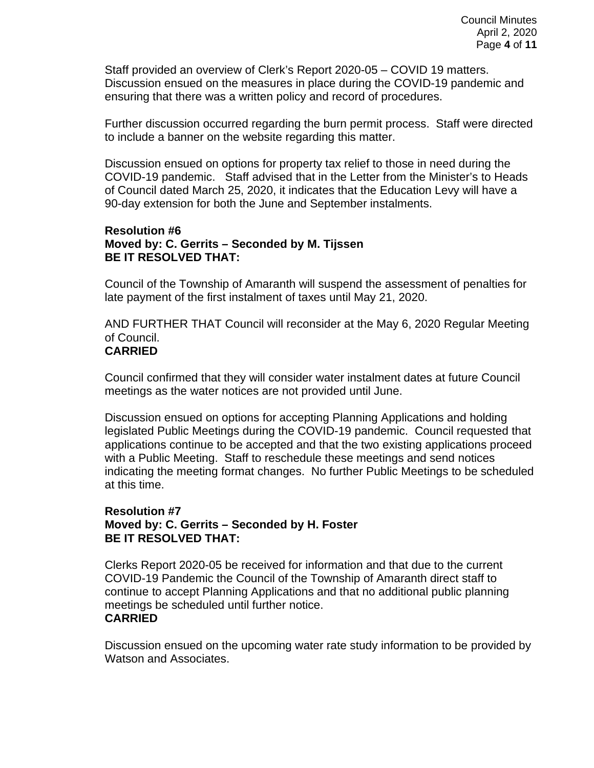Staff provided an overview of Clerk's Report 2020-05 – COVID 19 matters. Discussion ensued on the measures in place during the COVID-19 pandemic and ensuring that there was a written policy and record of procedures.

Further discussion occurred regarding the burn permit process. Staff were directed to include a banner on the website regarding this matter.

Discussion ensued on options for property tax relief to those in need during the COVID-19 pandemic. Staff advised that in the Letter from the Minister's to Heads of Council dated March 25, 2020, it indicates that the Education Levy will have a 90-day extension for both the June and September instalments.

### **Resolution #6 Moved by: C. Gerrits – Seconded by M. Tijssen BE IT RESOLVED THAT:**

Council of the Township of Amaranth will suspend the assessment of penalties for late payment of the first instalment of taxes until May 21, 2020.

AND FURTHER THAT Council will reconsider at the May 6, 2020 Regular Meeting of Council.

# **CARRIED**

Council confirmed that they will consider water instalment dates at future Council meetings as the water notices are not provided until June.

Discussion ensued on options for accepting Planning Applications and holding legislated Public Meetings during the COVID-19 pandemic. Council requested that applications continue to be accepted and that the two existing applications proceed with a Public Meeting. Staff to reschedule these meetings and send notices indicating the meeting format changes. No further Public Meetings to be scheduled at this time.

# **Resolution #7 Moved by: C. Gerrits – Seconded by H. Foster BE IT RESOLVED THAT:**

Clerks Report 2020-05 be received for information and that due to the current COVID-19 Pandemic the Council of the Township of Amaranth direct staff to continue to accept Planning Applications and that no additional public planning meetings be scheduled until further notice. **CARRIED**

Discussion ensued on the upcoming water rate study information to be provided by Watson and Associates.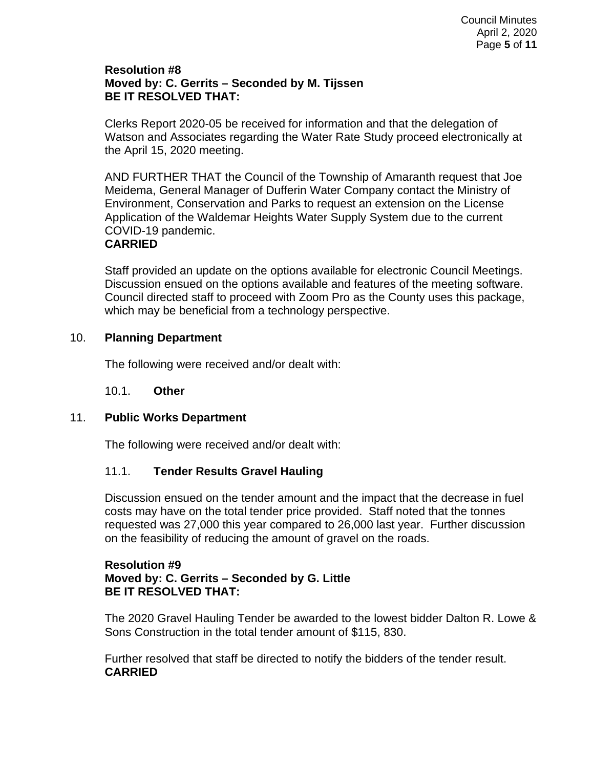# **Resolution #8 Moved by: C. Gerrits – Seconded by M. Tijssen BE IT RESOLVED THAT:**

Clerks Report 2020-05 be received for information and that the delegation of Watson and Associates regarding the Water Rate Study proceed electronically at the April 15, 2020 meeting.

AND FURTHER THAT the Council of the Township of Amaranth request that Joe Meidema, General Manager of Dufferin Water Company contact the Ministry of Environment, Conservation and Parks to request an extension on the License Application of the Waldemar Heights Water Supply System due to the current COVID-19 pandemic.

# **CARRIED**

Staff provided an update on the options available for electronic Council Meetings. Discussion ensued on the options available and features of the meeting software. Council directed staff to proceed with Zoom Pro as the County uses this package, which may be beneficial from a technology perspective.

# 10. **Planning Department**

The following were received and/or dealt with:

# 10.1. **Other**

# 11. **Public Works Department**

The following were received and/or dealt with:

# 11.1. **Tender Results Gravel Hauling**

Discussion ensued on the tender amount and the impact that the decrease in fuel costs may have on the total tender price provided. Staff noted that the tonnes requested was 27,000 this year compared to 26,000 last year. Further discussion on the feasibility of reducing the amount of gravel on the roads.

### **Resolution #9 Moved by: C. Gerrits – Seconded by G. Little BE IT RESOLVED THAT:**

The 2020 Gravel Hauling Tender be awarded to the lowest bidder Dalton R. Lowe & Sons Construction in the total tender amount of \$115, 830.

Further resolved that staff be directed to notify the bidders of the tender result. **CARRIED**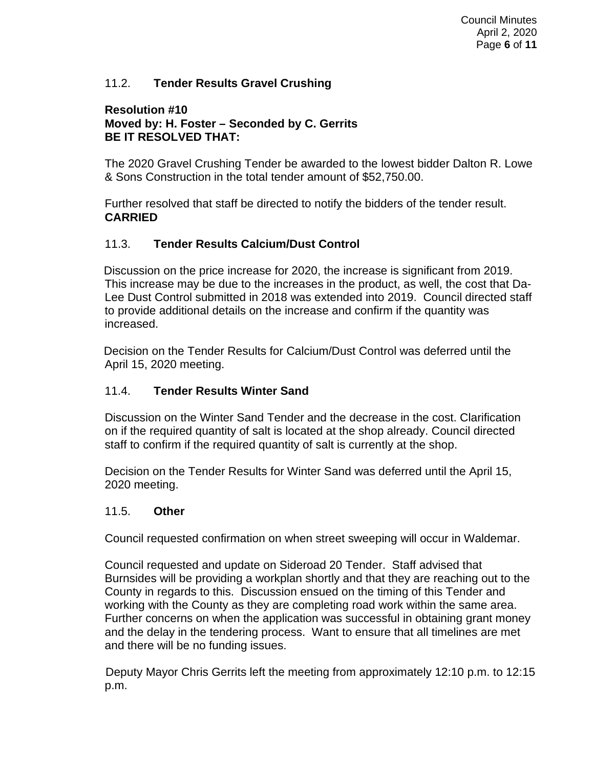# 11.2. **Tender Results Gravel Crushing**

### **Resolution #10 Moved by: H. Foster – Seconded by C. Gerrits BE IT RESOLVED THAT:**

The 2020 Gravel Crushing Tender be awarded to the lowest bidder Dalton R. Lowe & Sons Construction in the total tender amount of \$52,750.00.

Further resolved that staff be directed to notify the bidders of the tender result. **CARRIED**

# 11.3. **Tender Results Calcium/Dust Control**

Discussion on the price increase for 2020, the increase is significant from 2019. This increase may be due to the increases in the product, as well, the cost that Da-Lee Dust Control submitted in 2018 was extended into 2019. Council directed staff to provide additional details on the increase and confirm if the quantity was increased.

Decision on the Tender Results for Calcium/Dust Control was deferred until the April 15, 2020 meeting.

# 11.4. **Tender Results Winter Sand**

Discussion on the Winter Sand Tender and the decrease in the cost. Clarification on if the required quantity of salt is located at the shop already. Council directed staff to confirm if the required quantity of salt is currently at the shop.

Decision on the Tender Results for Winter Sand was deferred until the April 15, 2020 meeting.

# 11.5. **Other**

Council requested confirmation on when street sweeping will occur in Waldemar.

Council requested and update on Sideroad 20 Tender. Staff advised that Burnsides will be providing a workplan shortly and that they are reaching out to the County in regards to this. Discussion ensued on the timing of this Tender and working with the County as they are completing road work within the same area. Further concerns on when the application was successful in obtaining grant money and the delay in the tendering process. Want to ensure that all timelines are met and there will be no funding issues.

Deputy Mayor Chris Gerrits left the meeting from approximately 12:10 p.m. to 12:15 p.m.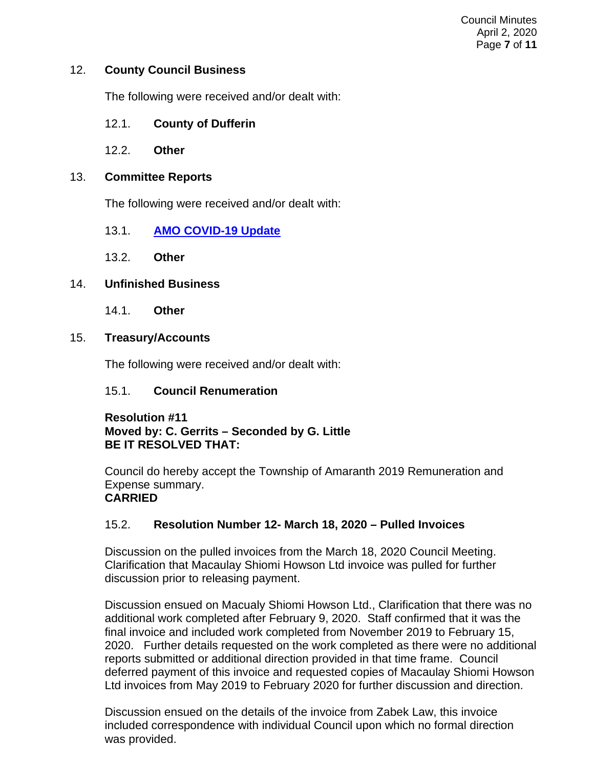### 12. **County Council Business**

The following were received and/or dealt with:

- 12.1. **County of Dufferin**
- 12.2. **Other**

### 13. **Committee Reports**

The following were received and/or dealt with:

- 13.1. **[AMO COVID-19 Update](https://amo.informz.ca/informzdataservice/onlineversion/ind/bWFpbGluZ2luc3RhbmNlaWQ9MTE4Mzc5MCZzdWJzY3JpYmVyaWQ9OTI1MTI4MzY2)**
- 13.2. **Other**

### 14. **Unfinished Business**

14.1. **Other**

### 15. **Treasury/Accounts**

The following were received and/or dealt with:

# 15.1. **Council Renumeration**

### **Resolution #11 Moved by: C. Gerrits – Seconded by G. Little BE IT RESOLVED THAT:**

Council do hereby accept the Township of Amaranth 2019 Remuneration and Expense summary. **CARRIED**

# 15.2. **Resolution Number 12- March 18, 2020 – Pulled Invoices**

Discussion on the pulled invoices from the March 18, 2020 Council Meeting. Clarification that Macaulay Shiomi Howson Ltd invoice was pulled for further discussion prior to releasing payment.

Discussion ensued on Macualy Shiomi Howson Ltd., Clarification that there was no additional work completed after February 9, 2020. Staff confirmed that it was the final invoice and included work completed from November 2019 to February 15, 2020. Further details requested on the work completed as there were no additional reports submitted or additional direction provided in that time frame. Council deferred payment of this invoice and requested copies of Macaulay Shiomi Howson Ltd invoices from May 2019 to February 2020 for further discussion and direction.

Discussion ensued on the details of the invoice from Zabek Law, this invoice included correspondence with individual Council upon which no formal direction was provided.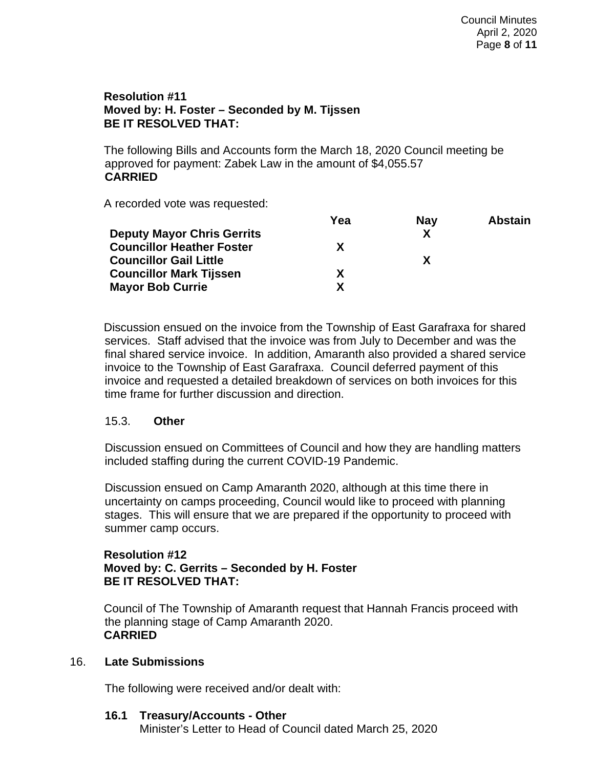### **Resolution #11 Moved by: H. Foster – Seconded by M. Tijssen BE IT RESOLVED THAT:**

The following Bills and Accounts form the March 18, 2020 Council meeting be approved for payment: Zabek Law in the amount of \$4,055.57 **CARRIED**

A recorded vote was requested:

|                                   | Yea | <b>Nay</b> | <b>Abstain</b> |
|-----------------------------------|-----|------------|----------------|
| <b>Deputy Mayor Chris Gerrits</b> |     | χ          |                |
| <b>Councillor Heather Foster</b>  |     |            |                |
| <b>Councillor Gail Little</b>     |     | X          |                |
| <b>Councillor Mark Tijssen</b>    |     |            |                |
| <b>Mayor Bob Currie</b>           |     |            |                |

Discussion ensued on the invoice from the Township of East Garafraxa for shared services. Staff advised that the invoice was from July to December and was the final shared service invoice. In addition, Amaranth also provided a shared service invoice to the Township of East Garafraxa. Council deferred payment of this invoice and requested a detailed breakdown of services on both invoices for this time frame for further discussion and direction.

# 15.3. **Other**

Discussion ensued on Committees of Council and how they are handling matters included staffing during the current COVID-19 Pandemic.

Discussion ensued on Camp Amaranth 2020, although at this time there in uncertainty on camps proceeding, Council would like to proceed with planning stages. This will ensure that we are prepared if the opportunity to proceed with summer camp occurs.

# **Resolution #12 Moved by: C. Gerrits – Seconded by H. Foster BE IT RESOLVED THAT:**

Council of The Township of Amaranth request that Hannah Francis proceed with the planning stage of Camp Amaranth 2020. **CARRIED**

# 16. **Late Submissions**

The following were received and/or dealt with:

# **16.1 Treasury/Accounts - Other**

Minister's Letter to Head of Council dated March 25, 2020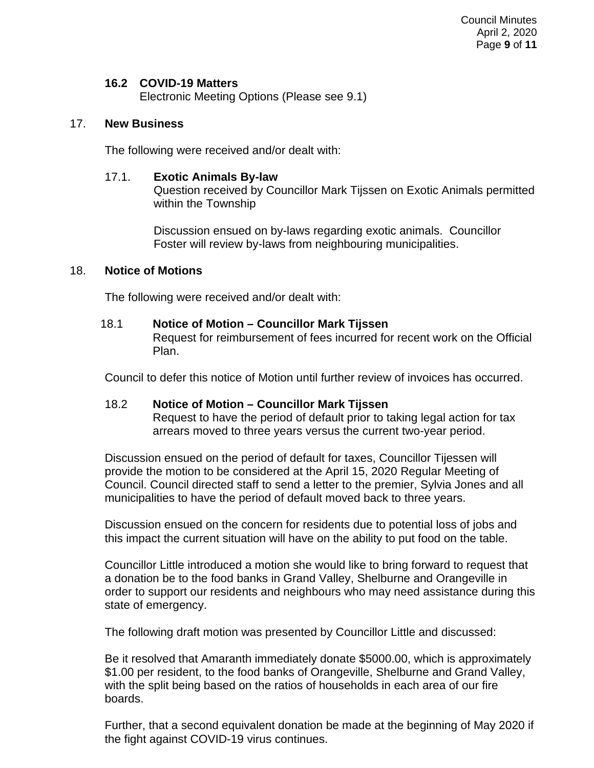### **16.2 COVID-19 Matters**

Electronic Meeting Options (Please see 9.1)

### 17. **New Business**

The following were received and/or dealt with:

### 17.1. **Exotic Animals By-law**

Question received by Councillor Mark Tijssen on Exotic Animals permitted within the Township

Discussion ensued on by-laws regarding exotic animals. Councillor Foster will review by-laws from neighbouring municipalities.

### 18. **Notice of Motions**

The following were received and/or dealt with:

### 18.1 **Notice of Motion – Councillor Mark Tijssen**

Request for reimbursement of fees incurred for recent work on the Official Plan.

Council to defer this notice of Motion until further review of invoices has occurred.

### 18.2 **Notice of Motion – Councillor Mark Tijssen**

Request to have the period of default prior to taking legal action for tax arrears moved to three years versus the current two-year period.

Discussion ensued on the period of default for taxes, Councillor Tijessen will provide the motion to be considered at the April 15, 2020 Regular Meeting of Council. Council directed staff to send a letter to the premier, Sylvia Jones and all municipalities to have the period of default moved back to three years.

Discussion ensued on the concern for residents due to potential loss of jobs and this impact the current situation will have on the ability to put food on the table.

Councillor Little introduced a motion she would like to bring forward to request that a donation be to the food banks in Grand Valley, Shelburne and Orangeville in order to support our residents and neighbours who may need assistance during this state of emergency.

The following draft motion was presented by Councillor Little and discussed:

Be it resolved that Amaranth immediately donate \$5000.00, which is approximately \$1.00 per resident, to the food banks of Orangeville, Shelburne and Grand Valley, with the split being based on the ratios of households in each area of our fire boards.

Further, that a second equivalent donation be made at the beginning of May 2020 if the fight against COVID-19 virus continues.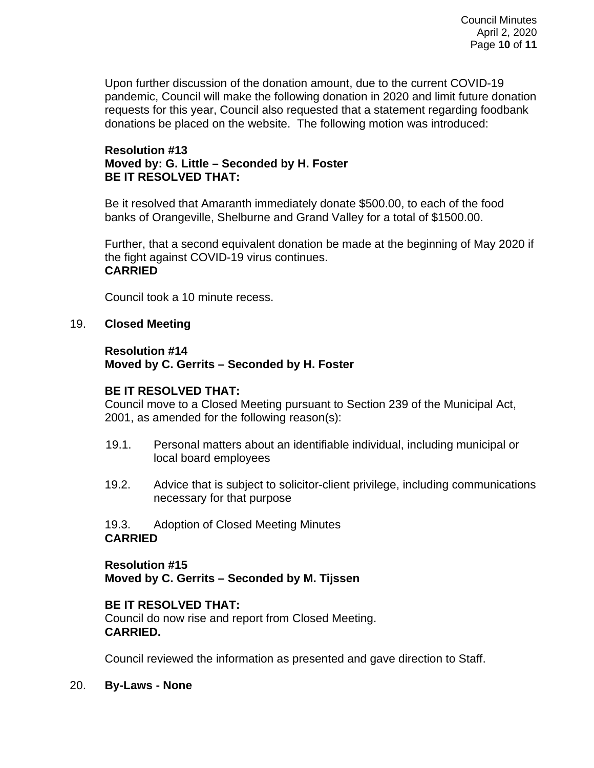Upon further discussion of the donation amount, due to the current COVID-19 pandemic, Council will make the following donation in 2020 and limit future donation requests for this year, Council also requested that a statement regarding foodbank donations be placed on the website. The following motion was introduced:

### **Resolution #13 Moved by: G. Little – Seconded by H. Foster BE IT RESOLVED THAT:**

Be it resolved that Amaranth immediately donate \$500.00, to each of the food banks of Orangeville, Shelburne and Grand Valley for a total of \$1500.00.

Further, that a second equivalent donation be made at the beginning of May 2020 if the fight against COVID-19 virus continues. **CARRIED**

Council took a 10 minute recess.

# 19. **Closed Meeting**

### **Resolution #14 Moved by C. Gerrits – Seconded by H. Foster**

# **BE IT RESOLVED THAT:**

Council move to a Closed Meeting pursuant to Section 239 of the Municipal Act, 2001, as amended for the following reason(s):

- 19.1. Personal matters about an identifiable individual, including municipal or local board employees
- 19.2. Advice that is subject to solicitor-client privilege, including communications necessary for that purpose

#### 19.3. Adoption of Closed Meeting Minutes **CARRIED**

# **Resolution #15 Moved by C. Gerrits – Seconded by M. Tijssen**

### **BE IT RESOLVED THAT:**

Council do now rise and report from Closed Meeting. **CARRIED.**

Council reviewed the information as presented and gave direction to Staff.

20. **By-Laws - None**